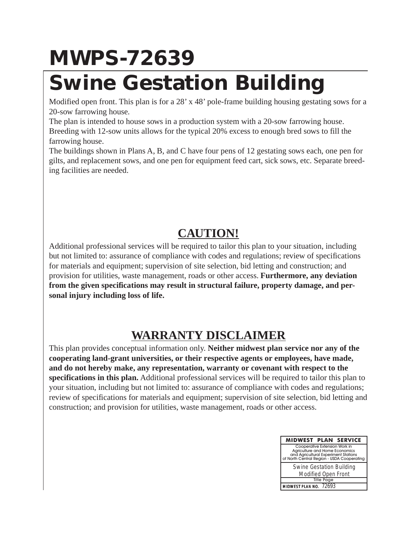## **MWPS-72639**

## **Swine Gestation Building**

Modified open front. This plan is for a 28' x 48' pole-frame building housing gestating sows for a 20-sow farrowing house.

The plan is intended to house sows in a production system with a 20-sow farrowing house. Breeding with 12-sow units allows for the typical 20% excess to enough bred sows to fill the farrowing house.

The buildings shown in Plans A, B, and C have four pens of 12 gestating sows each, one pen for gilts, and replacement sows, and one pen for equipment feed cart, sick sows, etc. Separate breeding facilities are needed.

## **CAUTION!**

Additional professional services will be required to tailor this plan to your situation, including but not limited to: assurance of compliance with codes and regulations; review of specifications for materials and equipment; supervision of site selection, bid letting and construction; and provision for utilities, waste management, roads or other access. **Furthermore, any deviation from the given specifications may result in structural failure, property damage, and personal injury including loss of life.**

## **WARRANTY DISCLAIMER**

This plan provides conceptual information only. **Neither midwest plan service nor any of the cooperating land-grant universities, or their respective agents or employees, have made, and do not hereby make, any representation, warranty or covenant with respect to the specifications in this plan.** Additional professional services will be required to tailor this plan to your situation, including but not limited to: assurance of compliance with codes and regulations; review of specifications for materials and equipment; supervision of site selection, bid letting and construction; and provision for utilities, waste management, roads or other access.

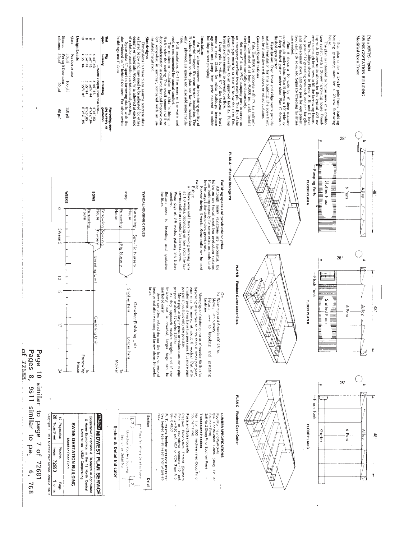**General Specifications** measured  $N_f$  at retrain-<br>neutron (see seed of at least 40,000 psi yield install<br>seed and correcte carefully and accuracity.<br>seed and correcte carefully and accuracity is seed as the seed of at le beams,<br>columns Slats of a slat for construction variation and grouting.<br>Space slats  $\mathbb{N}^n$  apart in farrowing stalls, with the<br>slot widened to 1" behind the sows. For other swine roof, is recommended for an<br>imal comfort. The minimum insulation for this building is<br> $R=5$  under the roofing. This small amount will re-<br> $R=5$  under the roofing. This small amount will re-**Insulation**<br> **Insulation**<br> **Alternation and the insulating quality of**<br> **A** values shown on the plan are for the insulation<br> **R** values shown on the plan are for the insulation<br> **R** values shown on the plan are for the i natural ventilation for this building. The open fi $\cos$  be closed down with doors, or rolled curtains. fushed open gutter.<br> **Wentilation:** Open front and ridge vents provide<br> **Ventilation:** Open front and ridge vents provide<br> **Ventilation:** Open front are planet A shows a 10' wide by 8' deep manure shows a 10' wide by storage pit under slats. Plan B shows a 10' wide by storage pit under slats. Plan B shows a 10' wide by 1' deep flushed gutter under slats. Plan C shows cess to enough breed sows to Fill the farrowang to<br>the form of the straining solution of the party of the straining solution<br>four pens of 12 gestating sows each, one pen for gluis and enough<br>the straining sows and one pen **SWINE GESTATION BUILDING** Plan MWPS - 72693 Ķ Ë Dimensions in these plans assume concrete slats as listed below and may need to be adjusted for other designs or materials. About  $\mathcal{W}$  is allowed at each end designs or materials. About  $\mathcal{W}$  is allowed at each end ior The plan is intended to house sows in a production system with a 20-sow farrowing house. Breed-<br>tion system with a 20-sow farrowing house. Breed-<br>ing with 12-sow units allows for the typical 20% ex-This plan is for a 28'x48' pole-frame building<br>housing gestating sows for a 20-sow farrowing Modified Open Front Design Loads ာကြားတာရ Slat designs duce condensation in cold weather and improve comptor for somewhat in summer, compared with an unonly-plywood, air spaces, etc., also add some insulabuildings, use 1" slots insulated metal roof eed cart, sick sows, etc. Separate breeding facilities Full insulation,  $R = 13$  or more in the walls and  $50\,\mathrm{pH}$  100 pH<br>Per sq ft floor area<br>s 35 psf  $4.341$ <br>  $4.341$ <br>  $5.341$ <br>  $5.341$ <br>  $4.351$ <br>  $4.351$ <br>  $4.351$ PR<sub>O</sub><br>Questo Per foot of slat -Math x depth, lower bar s<br>4" x4" x4" ; #3<br>4" x4" x4" ; #4<br>5" x5" ; #4 **Finishing** Farrowing, sow-<br>pig nuraery, or<br>gestation 160elf 4"x4",#3<br>6"x5",#5<br>6"x5",#5 65 psf  $28'$ PLAN A-Manure Storage Pit -Pumping Ports twice.<br>Either: Building space and preduction cycles. Building space and preduction cycles .  $\mathbb{R}^n$  following are typical meat hog production systems. Plan building capacity for some extra animals to all part building capacity for so **The conduct of Editor Control Control of A** Slotted Floor FLOOR PLAN A a) Move sows and litters to sow-pig nursing pens<br>at 1.3 weeks, depending on how soon the far-<br>rowing stalls are reeded for the next sows. 6 Pens **Alley**  $\frac{1}{6}$ **SOWS PIGS: WEEKS:** TYPICAL HOUSING CYCLES Return sows to breeding and<br>facilities. Wean pigs at 3-6 weeks, putting 3-4 litters together  $\circ$ House House douse arrowing House arrowing arrowing **BUIMOJ** 3Wean 5 Nursery ⇐ Sow-Pig Nursery Pig Nursery gestation  $28'$ **Breeding Unit** PLAN B-Flushed Gutter Under Slats -Flush Tank  $\overline{\circ}$ per pen if you have only one pen size.<br>
per pen if you have only one pen size.  $\alpha$  is the<br>
per pen, at about 17 weeks (1251b). <br>
As they approach market weight, and if the . farrowing intensifies to more than 6 times per year, pigs may be moved at about 8 weeks. Put into smaller pens if you have two pen sizes. Put more pigs marketed early Smaller Pens later Sows are often rebred during the first or second heat period after we<br>aning, and farrow about 16 weeks finishing unit is crowded, larger  $\overline{c}$ Or:<br>b) Wean pigs at 4-6 weeks (20-25 lb). Move pigs to finishing unit at 10 weeks (60 lb). (As facilities. Keturn Move<sub>t</sub> Slotted Floor **THE SECOND PROPERTY FLOOR PLANE** Growing-Finishing Unit 6 Pens Alley ਲ੍ਹੇ sto nursery sws to breeding and Gestating Unit  $\overline{\mathbb{Z}}$ <u>For the set</u> Larger Pens weight, and if the<br>arger hogs can be ł Farrowing Market gestating House  $\tilde{z}$  $\overline{a}$ 28 -Flush Tank P. T. **BEC**  $1/2$ Section **FLOOR PLANC** rn Pine) 6 Pens **Alley** Guțter  $\frac{4}{5}$ 

of 72688 Pages 8, Page 10 similar to page 7 of 9811 similar  $\vec{c}$ pa. 72681  $\tilde{\mathbf{e}}$  $\overline{3}$ 

 $\infty$ 



⊵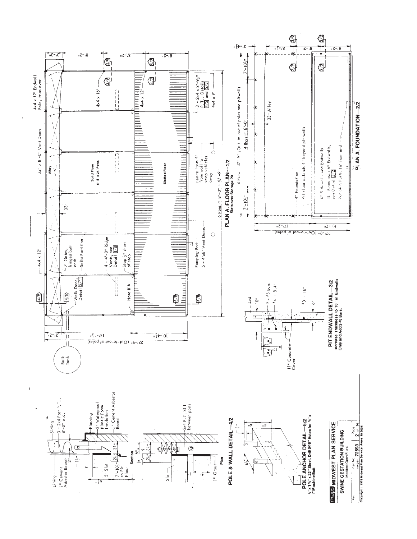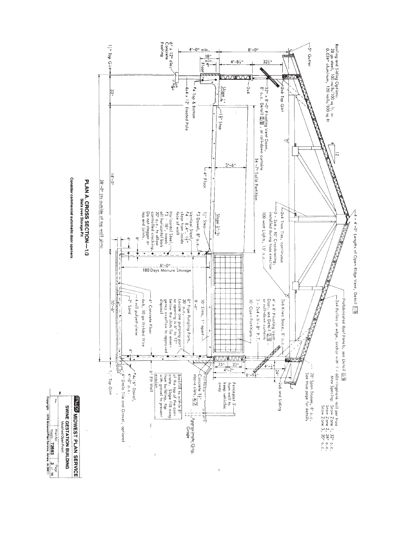

4 - 4'-0" Lengths of Open Ridge Vent, Detail [78]

Consider commercial automatic door openers

PLAN A. CROSS SECTION-1/3<br>PLAN A. CROSS SECTION-1/3

Plan Mon No Plan No Part Monday<br> **Copyright 1978 Midwest Plan Service, Ames, IA 50011**<br>
Copyright 1978 Midwest Plan Service, Ames, IA 50011 **MUDS MIDWEST PLAN SERVICE SWINE GESTATION BUILDING**<br>Modified Open Front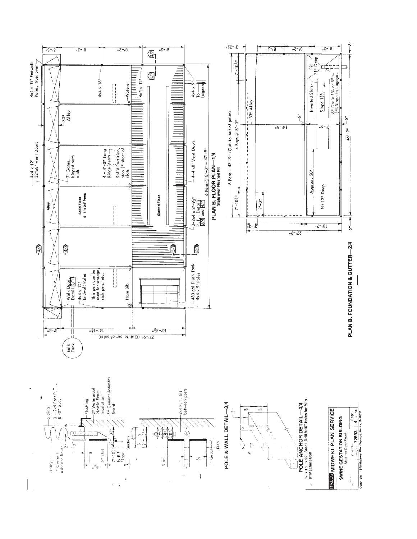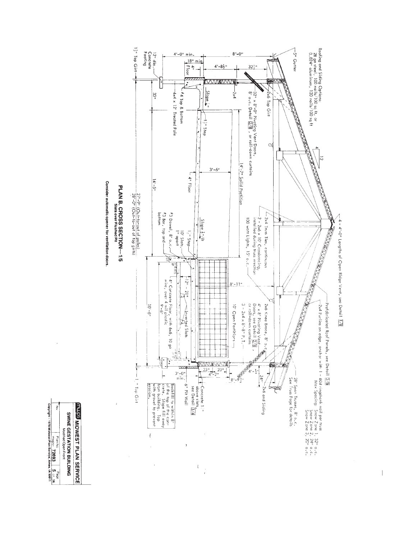

 $\overline{\phantom{a}}$ 

Consider automatic opener for ventilation doors

Plan No. 2003<br>| Plan No. 2009<br>| Copyright <1978 Midwest Plan Service, Ames, IA 50011 *<b>INUDS MIDWEST PLAN SERVICE* SWNE GESTATION BUILDING Modified Open Front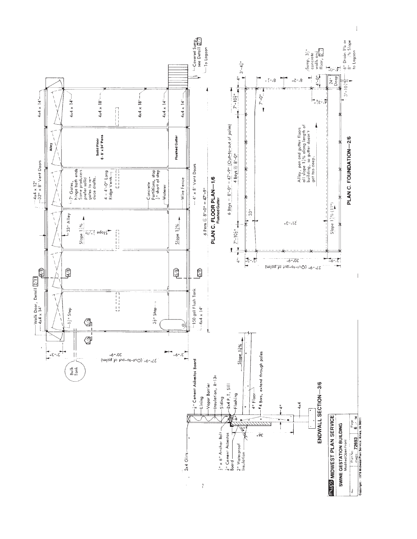

 $\overline{\phantom{a}}$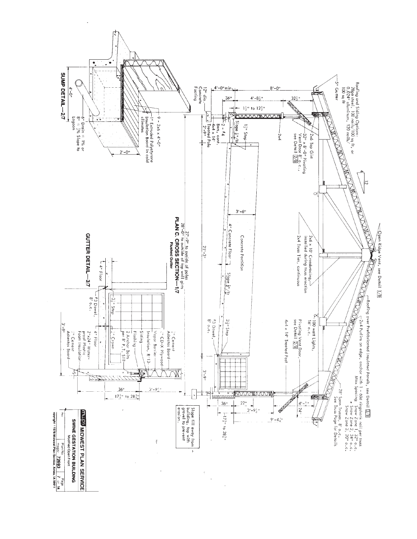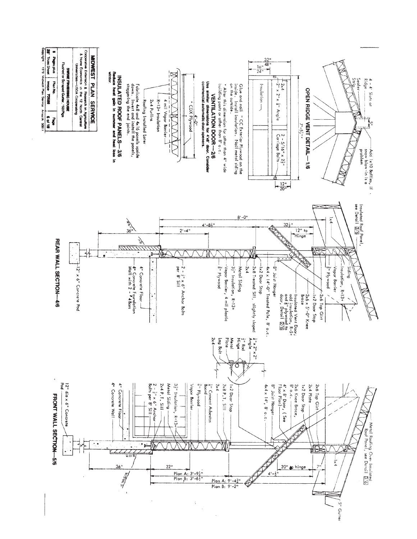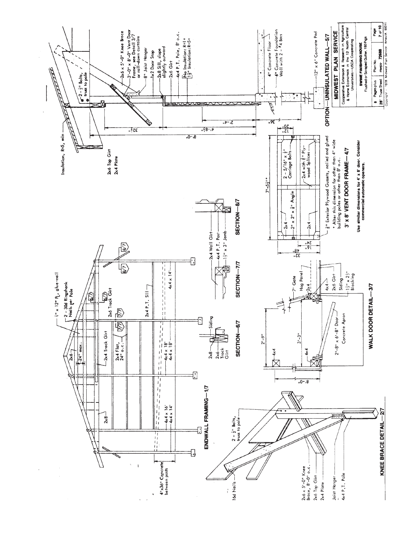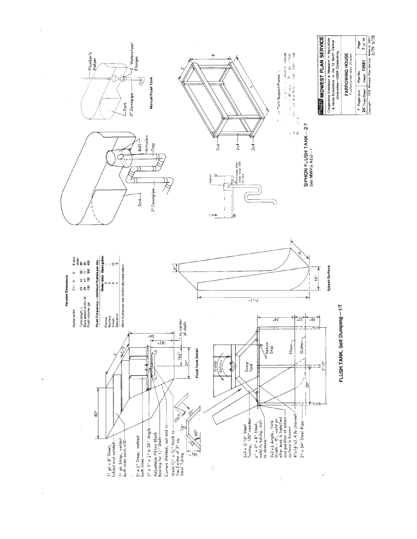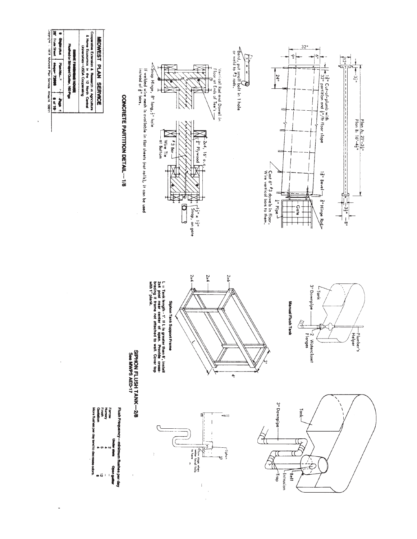

28' Trues Steet | Walger-72008 | \$cf 10 |<br>Copyright : 1978 Molvest Plan Service Amerik 50011  $1.0120$ 

,

ä,